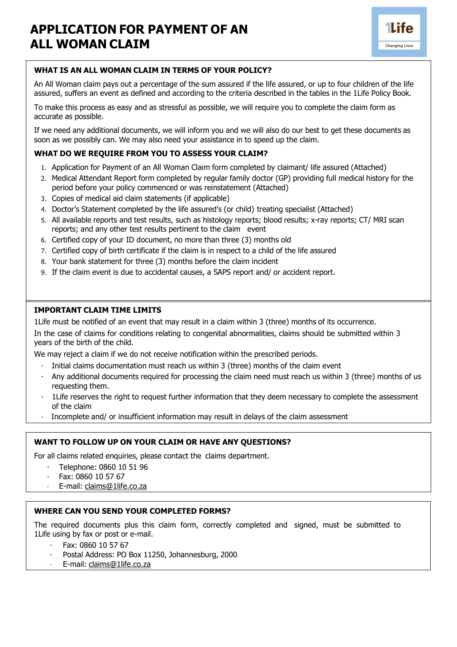

### **WHAT IS AN ALL WOMAN CLAIM IN TERMS OF YOUR POLICY?**

An All Woman claim pays out a percentage of the sum assured if the life assured, or up to four children of the life assured, suffers an event as defined and according to the criteria described in the tables in the 1Life Policy Book.

To make this process as easy and as stressful as possible, we will require you to complete the claim form as accurate as possible.

If we need any additional documents, we will inform you and we will also do our best to get these documents as soon as we possibly can. We may also need your assistance in to speed up the claim.

#### **WHAT DO WE REQUIRE FROM YOU TO ASSESS YOUR CLAIM?**

- 1. Application for Payment of an All Woman Claim form completed by claimant/ life assured (Attached)
- 2. Medical Attendant Report form completed by regular family doctor (GP) providing full medical history for the period before your policy commenced or was reinstatement (Attached)
- 3. Copies of medical aid claim statements (if applicable)
- 4. Doctor's Statement completed by the life assured's (or child) treating specialist (Attached)
- 5. All available reports and test results, such as histology reports; blood results; x-ray reports; CT/ MRI scan reports; and any other test results pertinent to the claim event
- 6. Certified copy of your ID document, no more than three (3) months old
- 7. Certified copy of birth certificate if the claim is in respect to a child of the life assured
- 8. Your bank statement for three (3) months before the claim incident
- 9. If the claim event is due to accidental causes, a SAPS report and/ or accident report.

#### **IMPORTANT CLAIM TIME LIMITS**

1Life must be notified of an event that may result in a claim within 3 (three) months of its occurrence.

In the case of claims for conditions relating to congenital abnormalities, claims should be submitted within 3 years of the birth of the child.

We may reject a claim if we do not receive notification within the prescribed periods.

- Initial claims documentation must reach us within 3 (three) months of the claim event
- · Any additional documents required for processing the claim need must reach us within 3 (three) months of us requesting them.
- · 1Life reserves the right to request further information that they deem necessary to complete the assessment of the claim
- · Incomplete and/ or insufficient information may result in delays of the claim assessment

#### **WANT TO FOLLOW UP ON YOUR CLAIM OR HAVE ANY QUESTIONS?**

For all claims related enquiries, please contact the claims department.

- · Telephone: 0860 10 51 96
- · Fax: 0860 10 57 67
- E-mail: [claims@1life.co.za](mailto:claims@1life.co.za)

#### **WHERE CAN YOU SEND YOUR COMPLETED FORMS?**

The required documents plus this claim form, correctly completed and signed, must be submitted to 1Life using by fax or post or e-mail.

- · Fax: 0860 10 57 67
- Postal Address: PO Box 11250, Johannesburg, 2000
- E-mail: [claims@1life.co.za](mailto:claims@1life.co.za)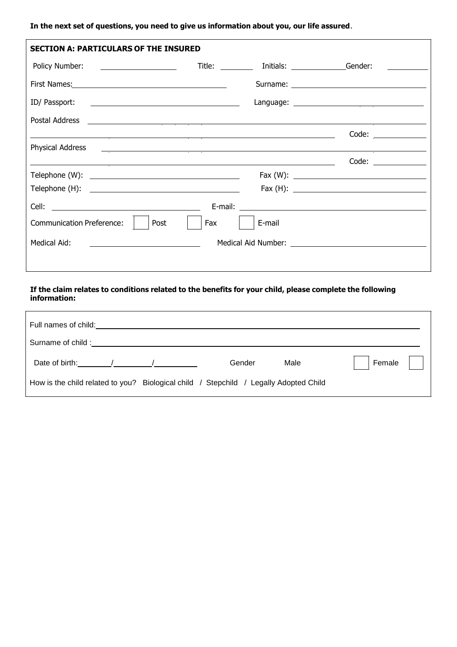# **In the next set of questions, you need to give us information about you, our life assured**.

| <b>SECTION A: PARTICULARS OF THE INSURED</b>                                                                                                    |     |                          |                          |
|-------------------------------------------------------------------------------------------------------------------------------------------------|-----|--------------------------|--------------------------|
| Policy Number: <u>____________________</u>                                                                                                      |     | Title: Initials: Gender: |                          |
|                                                                                                                                                 |     |                          |                          |
|                                                                                                                                                 |     |                          |                          |
|                                                                                                                                                 |     |                          |                          |
|                                                                                                                                                 |     |                          |                          |
| <b>Physical Address</b><br><u> Alexandria de la contrada de la contrada de la contrada de la contrada de la contrada de la contrada de la c</u> |     |                          |                          |
|                                                                                                                                                 |     |                          | Code: $\qquad \qquad$    |
|                                                                                                                                                 |     |                          |                          |
|                                                                                                                                                 |     |                          | Fax (H): $\qquad \qquad$ |
|                                                                                                                                                 |     |                          |                          |
| <b>Communication Preference:</b><br>Post                                                                                                        | Fax | E-mail                   |                          |
| Medical Aid:                                                                                                                                    |     |                          |                          |
|                                                                                                                                                 |     |                          |                          |

## **If the claim relates to conditions related to the benefits for your child, please complete the following information:**

| Full names of child:                                                                     |        |      |        |
|------------------------------------------------------------------------------------------|--------|------|--------|
| Surname of child:                                                                        |        |      |        |
| Date of birth:                                                                           | Gender | Male | Female |
| Biological child / Stepchild / Legally Adopted Child<br>How is the child related to you? |        |      |        |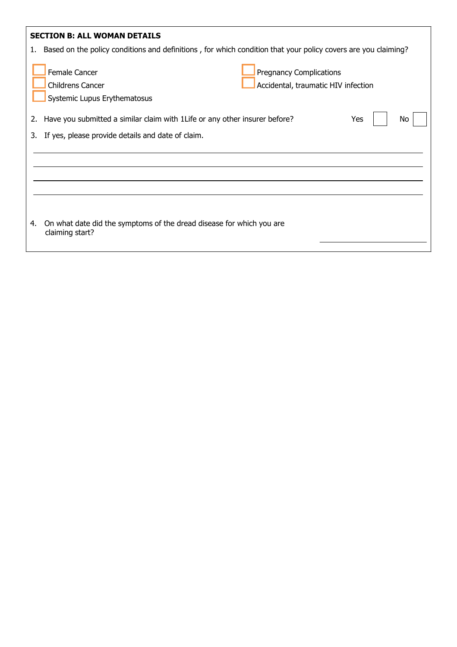| 1. | <b>SECTION B: ALL WOMAN DETAILS</b><br>Based on the policy conditions and definitions, for which condition that your policy covers are you claiming?     |
|----|----------------------------------------------------------------------------------------------------------------------------------------------------------|
|    | <b>Female Cancer</b><br><b>Pregnancy Complications</b><br>Accidental, traumatic HIV infection<br><b>Childrens Cancer</b><br>Systemic Lupus Erythematosus |
| 2. | Have you submitted a similar claim with 1 Life or any other insurer before?<br><b>Yes</b><br>Νo                                                          |
| 3. | If yes, please provide details and date of claim.                                                                                                        |
|    |                                                                                                                                                          |
| 4. | On what date did the symptoms of the dread disease for which you are<br>claiming start?                                                                  |
|    |                                                                                                                                                          |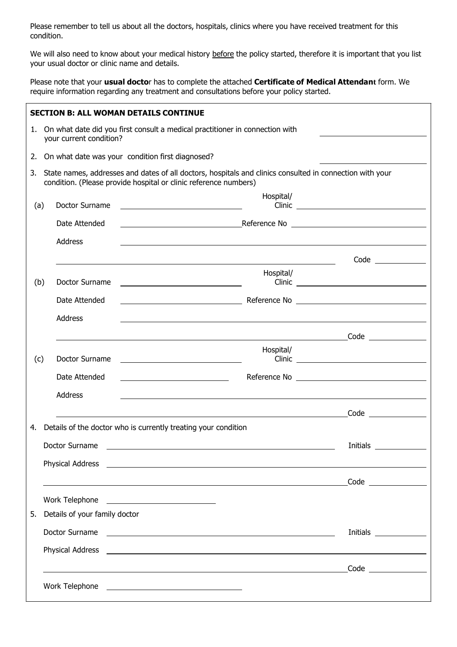Please remember to tell us about all the doctors, hospitals, clinics where you have received treatment for this condition.

We will also need to know about your medical history before the policy started, therefore it is important that you list your usual doctor or clinic name and details.

Please note that your **usual docto**r has to complete the attached **Certificate of Medical Attendant** form. We require information regarding any treatment and consultations before your policy started.

|     |                                                                                                                                                                              |                               | <b>SECTION B: ALL WOMAN DETAILS CONTINUE</b>                                                                                                                                                                                         |                                                                                                                                                                                                                                      |  |
|-----|------------------------------------------------------------------------------------------------------------------------------------------------------------------------------|-------------------------------|--------------------------------------------------------------------------------------------------------------------------------------------------------------------------------------------------------------------------------------|--------------------------------------------------------------------------------------------------------------------------------------------------------------------------------------------------------------------------------------|--|
|     | 1. On what date did you first consult a medical practitioner in connection with<br>your current condition?                                                                   |                               |                                                                                                                                                                                                                                      |                                                                                                                                                                                                                                      |  |
| 2.  | On what date was your condition first diagnosed?                                                                                                                             |                               |                                                                                                                                                                                                                                      |                                                                                                                                                                                                                                      |  |
| 3.  | State names, addresses and dates of all doctors, hospitals and clinics consulted in connection with your<br>condition. (Please provide hospital or clinic reference numbers) |                               |                                                                                                                                                                                                                                      |                                                                                                                                                                                                                                      |  |
| (a) |                                                                                                                                                                              | Doctor Surname                | Hospital/<br><u> 1989 - Johann Stein, mars an de Brazilian (b. 1989)</u>                                                                                                                                                             | Clinic                                                                                                                                                                                                                               |  |
|     |                                                                                                                                                                              | Date Attended                 | <u>Reference No Communications and the Reference No Communications and the Reference No Communications and the Reference No Communications and the Reference No Communications and the Reference No Communications and the Refer</u> |                                                                                                                                                                                                                                      |  |
|     |                                                                                                                                                                              | Address                       | <u> 1989 - John Stoff, amerikansk politiker (d. 1989)</u>                                                                                                                                                                            |                                                                                                                                                                                                                                      |  |
|     |                                                                                                                                                                              |                               | ,我们也不会有一个人的人,我们也不会有一个人的人,我们也不会有一个人的人。""我们,我们也不会有一个人的人,我们也不会有一个人的人。""我们,我们也不会有一个人                                                                                                                                                     |                                                                                                                                                                                                                                      |  |
| (b) |                                                                                                                                                                              | Doctor Surname                | Hospital/                                                                                                                                                                                                                            | Clinic <u>and the contract of the contract of the contract of the contract of the contract of the contract of the contract of the contract of the contract of the contract of the contract of the contract of the contract of th</u> |  |
|     |                                                                                                                                                                              | Date Attended                 |                                                                                                                                                                                                                                      |                                                                                                                                                                                                                                      |  |
|     |                                                                                                                                                                              | <b>Address</b>                |                                                                                                                                                                                                                                      |                                                                                                                                                                                                                                      |  |
|     |                                                                                                                                                                              |                               |                                                                                                                                                                                                                                      |                                                                                                                                                                                                                                      |  |
| (c) |                                                                                                                                                                              | Doctor Surname                | Hospital/<br><u>and the state of the state of the state of the state of the state of the state of the state of the state of th</u>                                                                                                   | $Clinic$ $\qquad \qquad$                                                                                                                                                                                                             |  |
|     |                                                                                                                                                                              | Date Attended                 | <u> 1989 - Johann Barbara, martin amerikan personal (</u>                                                                                                                                                                            |                                                                                                                                                                                                                                      |  |
|     |                                                                                                                                                                              | Address                       |                                                                                                                                                                                                                                      |                                                                                                                                                                                                                                      |  |
|     |                                                                                                                                                                              |                               | <u> 1980 - Johann Barbara, martxa eta politikaria (h. 1980).</u>                                                                                                                                                                     |                                                                                                                                                                                                                                      |  |
| 4.  |                                                                                                                                                                              |                               | Details of the doctor who is currently treating your condition                                                                                                                                                                       |                                                                                                                                                                                                                                      |  |
|     |                                                                                                                                                                              | Doctor Surname                |                                                                                                                                                                                                                                      | Initials                                                                                                                                                                                                                             |  |
|     |                                                                                                                                                                              |                               |                                                                                                                                                                                                                                      |                                                                                                                                                                                                                                      |  |
|     |                                                                                                                                                                              |                               |                                                                                                                                                                                                                                      |                                                                                                                                                                                                                                      |  |
|     |                                                                                                                                                                              |                               |                                                                                                                                                                                                                                      |                                                                                                                                                                                                                                      |  |
| 5.  |                                                                                                                                                                              | Details of your family doctor |                                                                                                                                                                                                                                      |                                                                                                                                                                                                                                      |  |
|     |                                                                                                                                                                              | Doctor Surname                | <u> 1989 - Andrea Barbara, amerikan personal dan personal dan personal dan personal dan personal dan personal dan</u>                                                                                                                | Initials _______________                                                                                                                                                                                                             |  |
|     |                                                                                                                                                                              |                               | Physical Address <b>contract and a series of the series of the series of the series of the series of the series of the series of the series of the series of the series of the series of the series of the series of the series </b> |                                                                                                                                                                                                                                      |  |
|     |                                                                                                                                                                              |                               |                                                                                                                                                                                                                                      |                                                                                                                                                                                                                                      |  |
|     |                                                                                                                                                                              |                               |                                                                                                                                                                                                                                      |                                                                                                                                                                                                                                      |  |